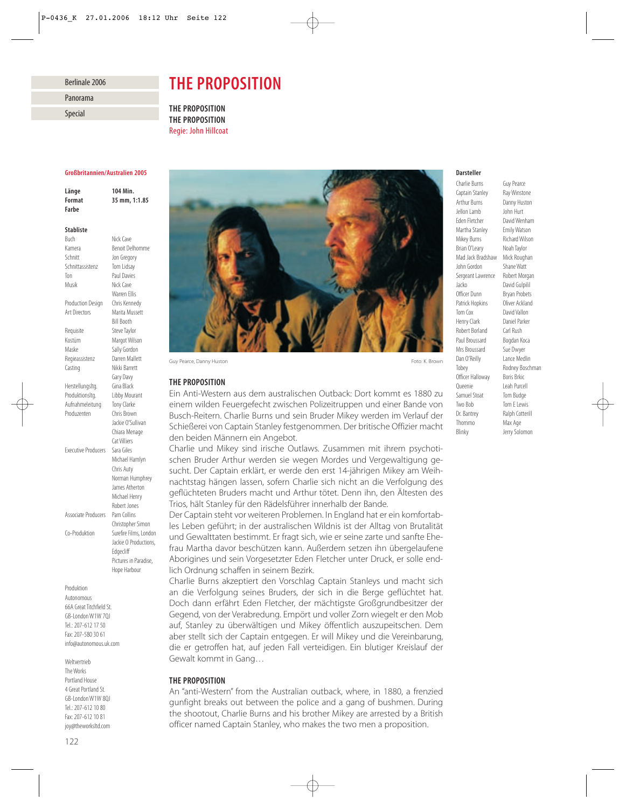## Berlinale 2006

Panorama

Special

# *THE PROPOSITION*

*THE PROPOSITION THE PROPOSITION* Regie: John Hillcoat

### *Großbritannien/Australien 2005*

*Länge 104 Min. Format 35 mm, 1:1.85 Farbe*

## *Stabliste*

Buch Nick Cave Kamera Benoit Delhomme Schnitt Jon Gregory Schnittassistenz Tom Lidsay Ton Paul Davies Musik Nick Cave Warren Ellis Production Design Chris Kennedy<br>Art Directors Marita Musset Marita Mussett Bill Booth Requisite Steve Taylor Kostüm Margot Wilson Maske Sally Gordon Regieassistenz Darren Mallett Casting Nikki Barrett Gary Davy Herstellungsltg. Gina Black Produktionsltg. Libby Mourant Aufnahmeleitung Tony Clarke Produzenten Chris Brown Jackie O'Sullivan Chiara Menage Cat Villiers Executive Producers Sara Giles Michael Hamlyn Chris Auty Norman Humphrey James Atherton Michael Henry Robert Jones Associate Producers Pam Collins Christopher Simon Co-Produktion Surefire Films, London Jackie O Productions, Edgecliff Pictures in Paradise, Hope Harbour

Produktion Autonomous 66A Great Titchfield St. GB-London W1W 7QJ Tel.: 207-612 17 50 Fax: 207-580 30 61 info@autonomous.uk.com

Weltvertrieb The Works Portland House 4 Great Portland St. GB-London W1W 8QJ Tel.: 207-612 10 80 Fax: 207-612 10 81 joy@theworksltd.com



Guy Pearce, Danny Huston Foto: K. Brown Foto: K. Brown Foto: K. Brown Foto: K. Brown Foto: K. Brown Foto: K. Brown

# *THE PROPOSITION*

Ein Anti-Western aus dem australischen Outback: Dort kommt es 1880 zu einem wilden Feuergefecht zwischen Polizeitruppen und einer Bande von Busch-Reitern. Charlie Burns und sein Bruder Mikey werden im Verlauf der Schießerei von Captain Stanley festgenommen. Der britische Offizier macht den beiden Männern ein Angebot.

Charlie und Mikey sind irische Outlaws. Zusammen mit ihrem psychotischen Bruder Arthur werden sie wegen Mordes und Vergewaltigung gesucht. Der Captain erklärt, er werde den erst 14-jährigen Mikey am Weihnachtstag hängen lassen, sofern Charlie sich nicht an die Verfolgung des geflüchteten Bruders macht und Arthur tötet. Denn ihn, den Ältesten des Trios, hält Stanley für den Rädelsführer innerhalb der Bande.

Der Captain steht vor weiteren Problemen. In England hat er ein komfortables Leben geführt; in der australischen Wildnis ist der Alltag von Brutalität und Gewalttaten bestimmt. Er fragt sich, wie er seine zarte und sanfte Ehefrau Martha davor beschützen kann. Außerdem setzen ihn übergelaufene Aborigines und sein Vorgesetzter Eden Fletcher unter Druck, er solle endlich Ordnung schaffen in seinem Bezirk.

Charlie Burns akzeptiert den Vorschlag Captain Stanleys und macht sich an die Verfolgung seines Bruders, der sich in die Berge geflüchtet hat. Doch dann erfährt Eden Fletcher, der mächtigste Großgrundbesitzer der Gegend, von der Verabredung. Empört und voller Zorn wiegelt er den Mob auf, Stanley zu überwältigen und Mikey öffentlich auszupeitschen. Dem aber stellt sich der Captain entgegen. Er will Mikey und die Vereinbarung, die er getroffen hat, auf jeden Fall verteidigen. Ein blutiger Kreislauf der Gewalt kommt in Gang…

## *THE PROPOSITION*

An "anti-Western" from the Australian outback, where, in 1880, a frenzied gunfight breaks out between the police and a gang of bushmen. During the shootout, Charlie Burns and his brother Mikey are arrested by a British officer named Captain Stanley, who makes the two men a proposition.

## *Darsteller*

Charlie Burns Guy Pearce<br>Captain Stanley Bay Winstone Captain Stanley Arthur Burns Danny Huston Jellon Lamb John Hurt Eden Fletcher David Wenham<br>Martha Stanley Fmily Watson Martha Stanley Mikey Burns Richard Wilson Brian O'Leary Noah Taylor Mad Jack Bradshaw Mick Roughan John Gordon Shane Watt<br>Sergeant Lawrence Robert Morgan Sergeant Lawrence Jacko David Gulpilil Officer Dunn Bryan Probets Patrick Hopkins Oliver Ackland Tom Cox David Vallon Henry Clark Daniel Parker Robert Borland Carl Rush Paul Broussard Bogdan Koca Mrs Broussard Sue Dwyer Dan O'Reilly Lance Medlin Tobey Rodney Boschman Officer Halloway Boris Brkic Queenie Leah Purcell Samuel Stoat Tom Budge Two Bob Tom E Lewis Dr. Bantrey Ralph Cotterill Thommo Max Age

Blinky Jerry Solomon